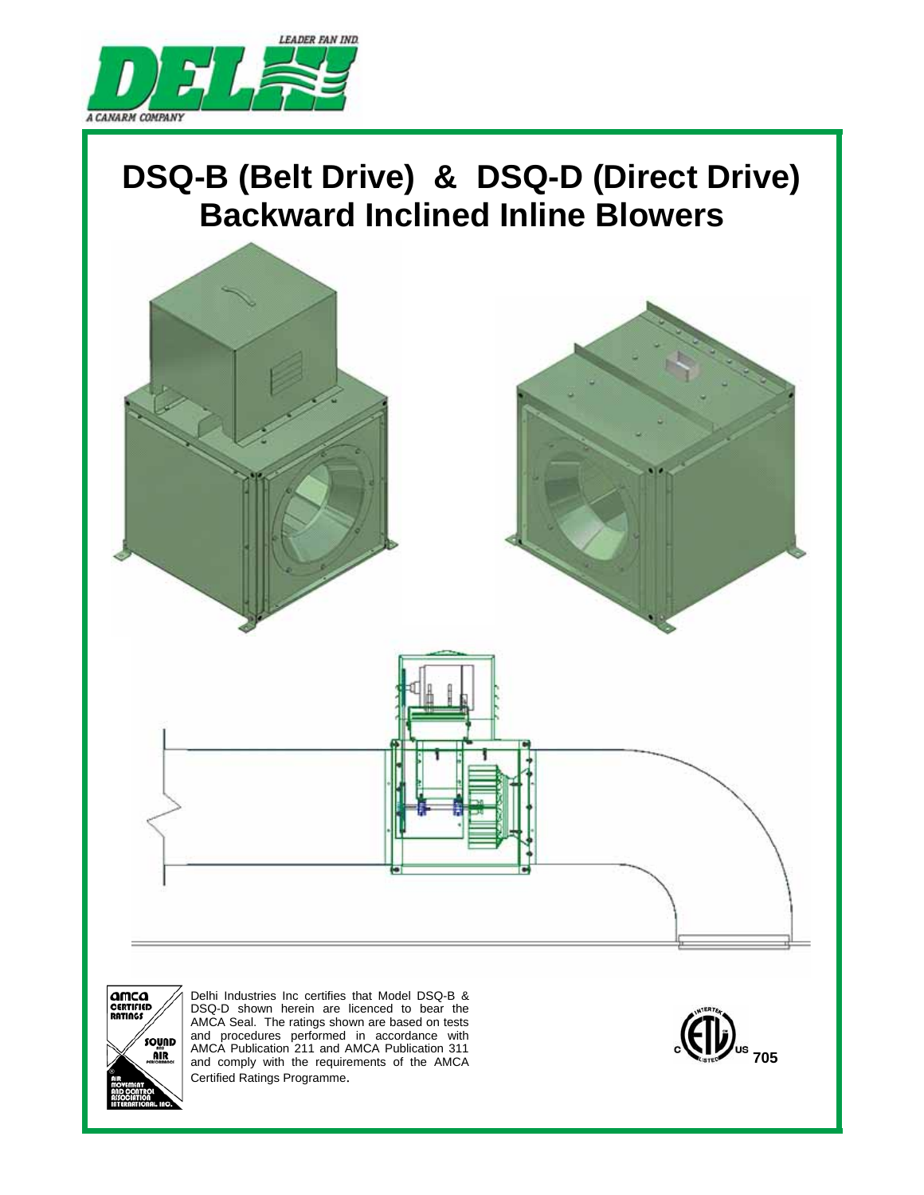

# **DSQ-B (Belt Drive) & DSQ-D (Direct Drive) Backward Inclined Inline Blowers**





Delhi Industries Inc certifies that Model DSQ-B & DSQ-D shown herein are licenced to bear the AMCA Seal. The ratings shown are based on tests and procedures performed in accordance with AMCA Publication 211 and AMCA Publication 311 and comply with the requirements of the AMCA Certified Ratings Programme.

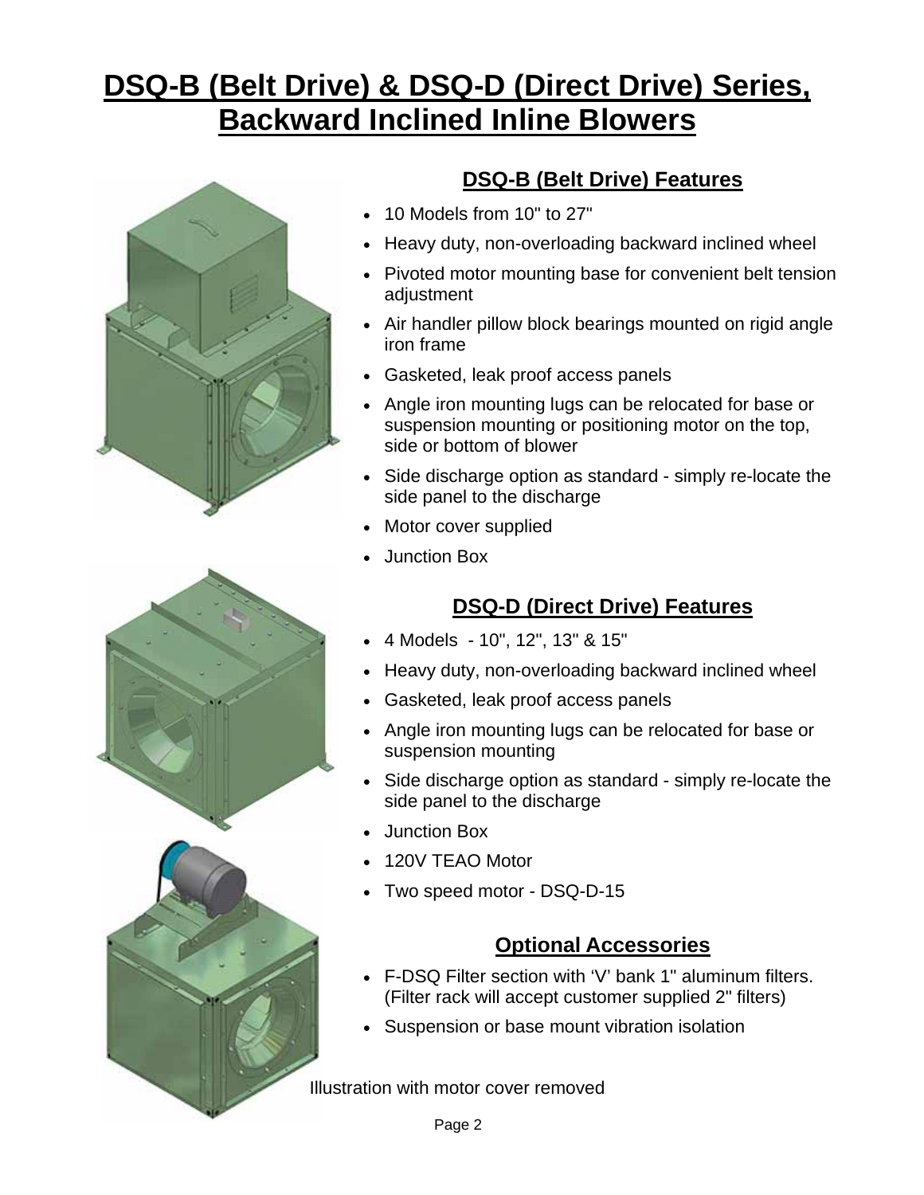# **DSQ-B (Belt Drive) & DSQ-D (Direct Drive) Series, Backward Inclined Inline Blowers**





## **DSQ-B (Belt Drive) Features**

- 10 Models from 10" to 27"
- Heavy duty, non-overloading backward inclined wheel
- Pivoted motor mounting base for convenient belt tension adjustment
- Air handler pillow block bearings mounted on rigid angle iron frame
- Gasketed, leak proof access panels
- Angle iron mounting lugs can be relocated for base or suspension mounting or positioning motor on the top, side or bottom of blower
- Side discharge option as standard simply re-locate the side panel to the discharge
- Motor cover supplied
- Junction Box

# **DSQ-D (Direct Drive) Features**

- 4 Models 10", 12", 13" & 15"
- Heavy duty, non-overloading backward inclined wheel
- Gasketed, leak proof access panels
- Angle iron mounting lugs can be relocated for base or suspension mounting
- Side discharge option as standard simply re-locate the side panel to the discharge
- Junction Box
- 120V TEAO Motor
- Two speed motor DSQ-D-15

# **Optional Accessories**

- F-DSQ Filter section with 'V' bank 1" aluminum filters. (Filter rack will accept customer supplied 2" filters)
- Suspension or base mount vibration isolation

Illustration with motor cover removed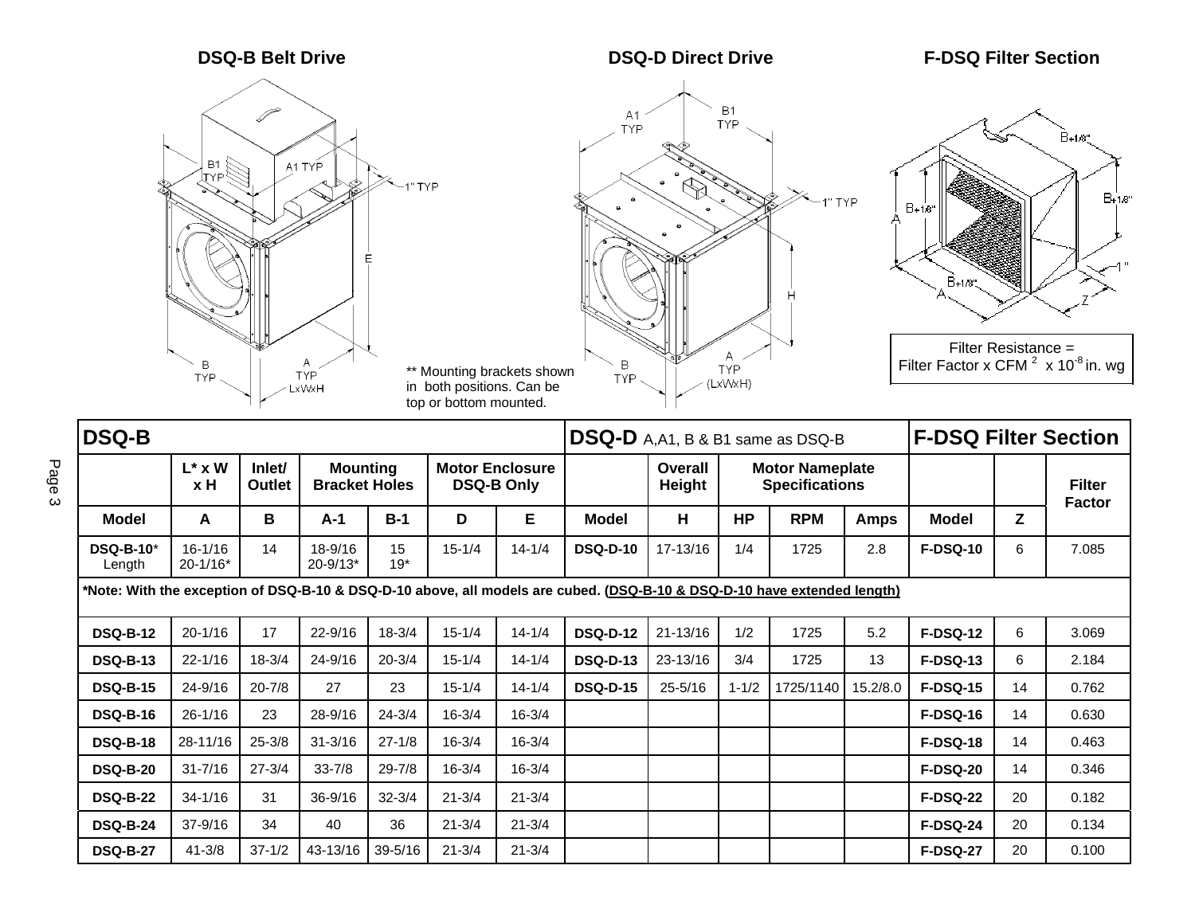

**TYP** 



1" TYP



Filter Resistance = Filter Factor x CFM 2 x 10-8 in. wg

| DSQ-B                                                                                                                    |                             |                  |                                                                                                                                                                |             |            |            | DSQ-D A, A1, B & B1 same as DSQ-B |                                |           |            |             | <b>F-DSQ Filter Section</b> |    |       |
|--------------------------------------------------------------------------------------------------------------------------|-----------------------------|------------------|----------------------------------------------------------------------------------------------------------------------------------------------------------------|-------------|------------|------------|-----------------------------------|--------------------------------|-----------|------------|-------------|-----------------------------|----|-------|
|                                                                                                                          | $L^*$ x W<br>x H            | Inlet/<br>Outlet | <b>Motor Enclosure</b><br><b>Mounting</b><br>Overall<br><b>Motor Nameplate</b><br><b>Bracket Holes</b><br><b>DSQ-B Only</b><br><b>Specifications</b><br>Height |             |            |            |                                   | <b>Filter</b><br><b>Factor</b> |           |            |             |                             |    |       |
| <b>Model</b>                                                                                                             | A                           | В                | A-1                                                                                                                                                            | $B-1$       | D          | Е          | Model                             | н                              | <b>HP</b> | <b>RPM</b> | <b>Amps</b> | Model                       | Z  |       |
| <b>DSQ-B-10*</b><br>Length                                                                                               | $16 - 1/16$<br>$20 - 1/16*$ | 14               | 18-9/16<br>$20 - 9/13*$                                                                                                                                        | 15<br>$19*$ | $15 - 1/4$ | $14 - 1/4$ | <b>DSQ-D-10</b>                   | 17-13/16                       | 1/4       | 1725       | 2.8         | <b>F-DSQ-10</b>             | 6  | 7.085 |
| *Note: With the exception of DSQ-B-10 & DSQ-D-10 above, all models are cubed. (DSQ-B-10 & DSQ-D-10 have extended length) |                             |                  |                                                                                                                                                                |             |            |            |                                   |                                |           |            |             |                             |    |       |
| <b>DSQ-B-12</b>                                                                                                          | $20 - 1/16$                 | 17               | $22 - 9/16$                                                                                                                                                    | $18 - 3/4$  | $15 - 1/4$ | $14 - 1/4$ | <b>DSQ-D-12</b>                   | $21 - 13/16$                   | 1/2       | 1725       | 5.2         | <b>F-DSQ-12</b>             | 6  | 3.069 |
| <b>DSQ-B-13</b>                                                                                                          | $22 - 1/16$                 | $18 - 3/4$       | $24 - 9/16$                                                                                                                                                    | $20 - 3/4$  | $15 - 1/4$ | $14 - 1/4$ | <b>DSQ-D-13</b>                   | 23-13/16                       | 3/4       | 1725       | 13          | <b>F-DSQ-13</b>             | 6  | 2.184 |
| <b>DSQ-B-15</b>                                                                                                          | $24 - 9/16$                 | $20 - 7/8$       | 27                                                                                                                                                             | 23          | $15 - 1/4$ | $14 - 1/4$ | <b>DSQ-D-15</b>                   | $25 - 5/16$                    | $1 - 1/2$ | 1725/1140  | 15.2/8.0    | <b>F-DSQ-15</b>             | 14 | 0.762 |
| <b>DSQ-B-16</b>                                                                                                          | $26 - 1/16$                 | 23               | 28-9/16                                                                                                                                                        | $24 - 3/4$  | $16 - 3/4$ | $16 - 3/4$ |                                   |                                |           |            |             | <b>F-DSQ-16</b>             | 14 | 0.630 |
| <b>DSQ-B-18</b>                                                                                                          | 28-11/16                    | $25 - 3/8$       | $31 - 3/16$                                                                                                                                                    | $27 - 1/8$  | $16 - 3/4$ | $16 - 3/4$ |                                   |                                |           |            |             | <b>F-DSQ-18</b>             | 14 | 0.463 |
| <b>DSQ-B-20</b>                                                                                                          | $31 - 7/16$                 | $27 - 3/4$       | $33 - 7/8$                                                                                                                                                     | $29 - 7/8$  | $16 - 3/4$ | $16 - 3/4$ |                                   |                                |           |            |             | <b>F-DSQ-20</b>             | 14 | 0.346 |
| <b>DSQ-B-22</b>                                                                                                          | $34 - 1/16$                 | 31               | $36 - 9/16$                                                                                                                                                    | $32 - 3/4$  | $21 - 3/4$ | $21 - 3/4$ |                                   |                                |           |            |             | <b>F-DSQ-22</b>             | 20 | 0.182 |
| <b>DSQ-B-24</b>                                                                                                          | 37-9/16                     | 34               | 40                                                                                                                                                             | 36          | $21 - 3/4$ | $21 - 3/4$ |                                   |                                |           |            |             | <b>F-DSQ-24</b>             | 20 | 0.134 |
| <b>DSQ-B-27</b>                                                                                                          | $41 - 3/8$                  | $37 - 1/2$       | 43-13/16                                                                                                                                                       | $39 - 5/16$ | $21 - 3/4$ | $21 - 3/4$ |                                   |                                |           |            |             | <b>F-DSQ-27</b>             | 20 | 0.100 |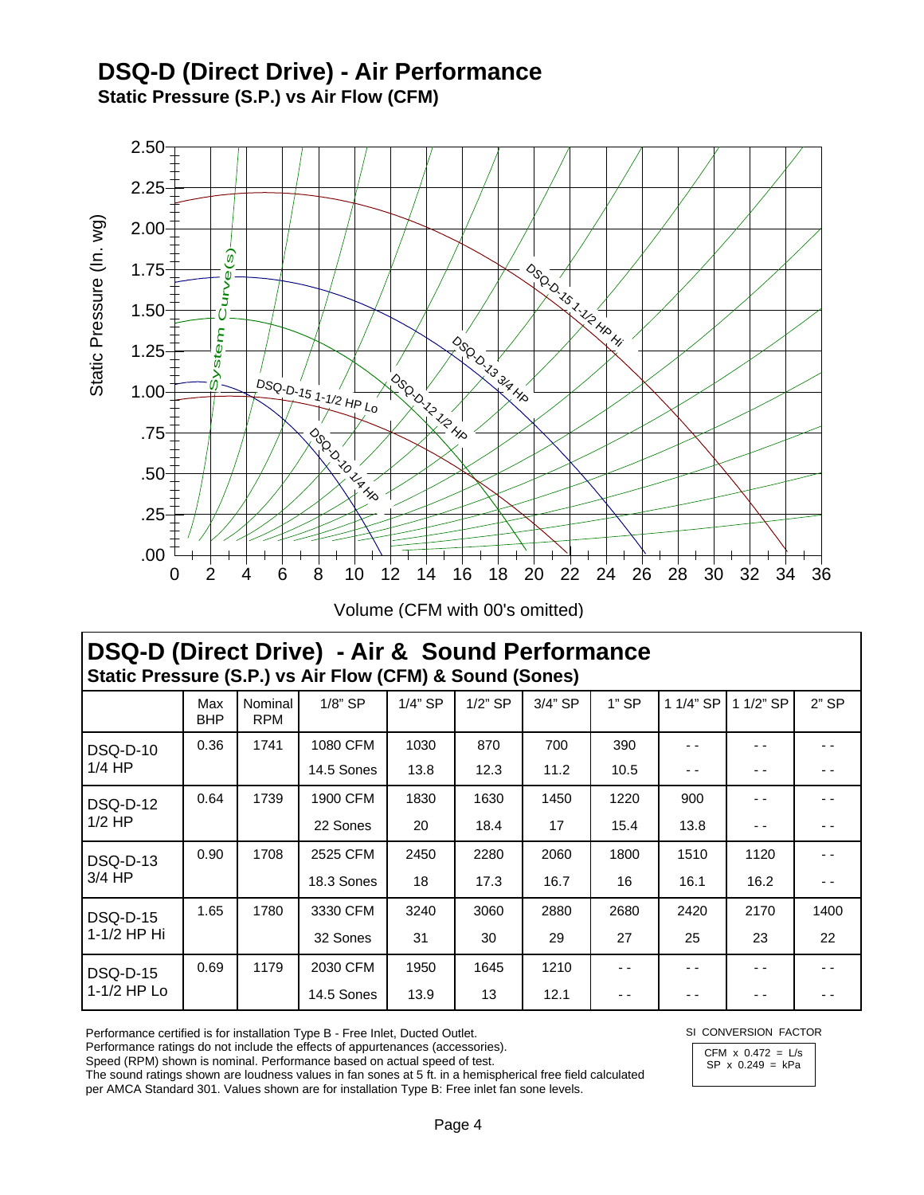### **DSQ-D (Direct Drive) - Air Performance Static Pressure (S.P.) vs Air Flow (CFM)**



Volume (CFM with 00's omitted)

# **DSQ-D (Direct Drive) - Air & Sound Performance Static Pressure (S.P.) vs Air Flow (CFM) & Sound (Sones)**

|                                | Max<br><b>BHP</b> | Nominal<br><b>RPM</b> | 1/8" SP    | $1/4$ " SP | $1/2$ " SP | 3/4" SP | $1"$ SP | 1 1/4" SP | 1 1/2" SP | $2"$ SP |
|--------------------------------|-------------------|-----------------------|------------|------------|------------|---------|---------|-----------|-----------|---------|
| <b>DSQ-D-10</b><br>$1/4$ HP    | 0.36              | 1741                  | 1080 CFM   | 1030       | 870        | 700     | 390     | - -       |           |         |
|                                |                   |                       | 14.5 Sones | 13.8       | 12.3       | 11.2    | 10.5    | - -       | - -       | - -     |
| DSQ-D-12<br>$1/2$ HP           | 0.64              | 1739                  | 1900 CFM   | 1830       | 1630       | 1450    | 1220    | 900       |           |         |
|                                |                   |                       | 22 Sones   | 20         | 18.4       | 17      | 15.4    | 13.8      | - -       | - -     |
| DSQ-D-13<br>$3/4$ HP           | 0.90              | 1708                  | 2525 CFM   | 2450       | 2280       | 2060    | 1800    | 1510      | 1120      |         |
|                                |                   |                       | 18.3 Sones | 18         | 17.3       | 16.7    | 16      | 16.1      | 16.2      | - -     |
| <b>DSQ-D-15</b><br>1-1/2 HP Hi | 1.65              | 1780                  | 3330 CFM   | 3240       | 3060       | 2880    | 2680    | 2420      | 2170      | 1400    |
|                                |                   |                       | 32 Sones   | 31         | 30         | 29      | 27      | 25        | 23        | 22      |
| <b>DSQ-D-15</b>                | 0.69              | 1179                  | 2030 CFM   | 1950       | 1645       | 1210    | - -     | - -       | - -       | - -     |
| 1-1/2 HP Lo                    |                   |                       | 14.5 Sones | 13.9       | 13         | 12.1    | - -     | - -       |           |         |

Performance certified is for installation Type B - Free Inlet, Ducted Outlet.

Performance ratings do not include the effects of appurtenances (accessories).

Speed (RPM) shown is nominal. Performance based on actual speed of test.

The sound ratings shown are loudness values in fan sones at 5 ft. in a hemispherical free field calculated per AMCA Standard 301. Values shown are for installation Type B: Free inlet fan sone levels.

SI CONVERSION FACTOR

CFM  $\times$  0.472 = L/s SP x 0.249 = kPa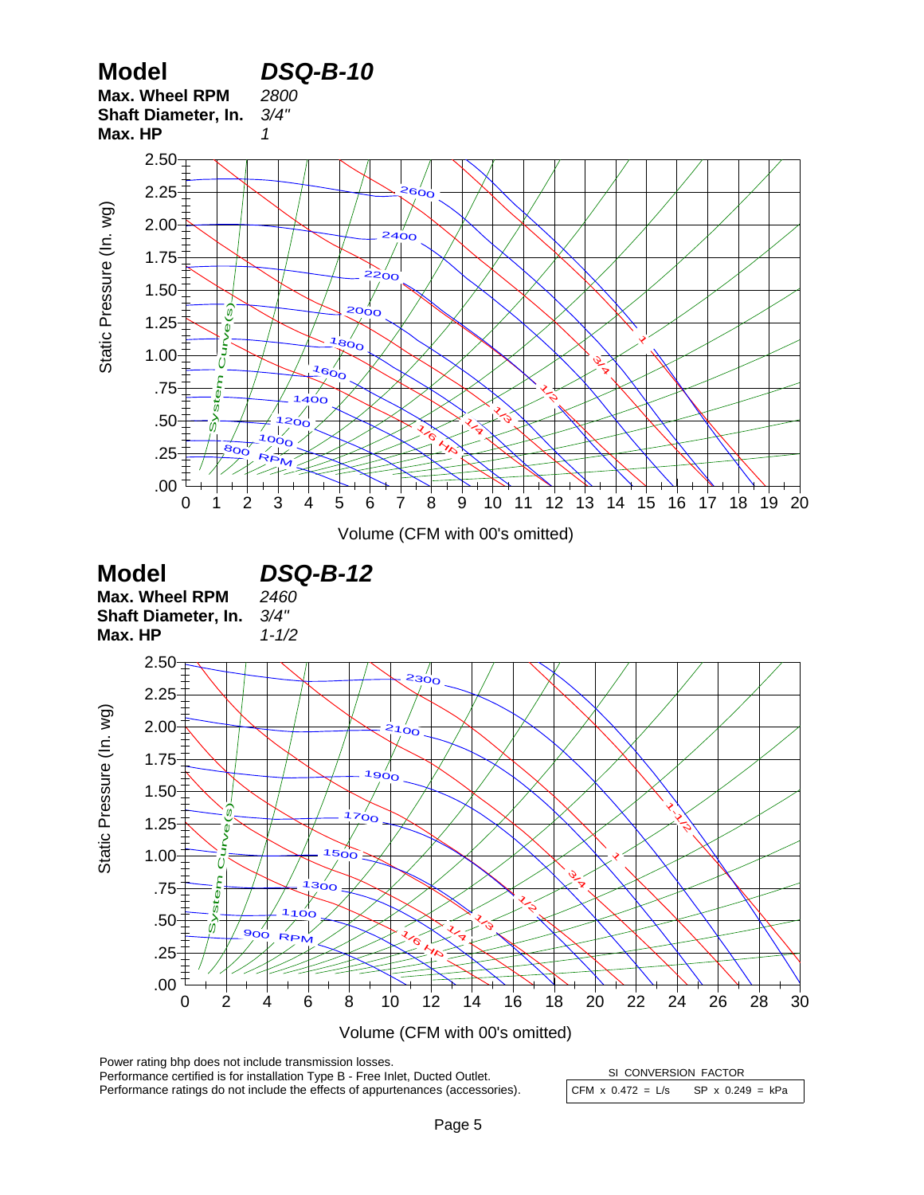

Performance certified is for installation Type B - Free Inlet, Ducted Outlet. Performance ratings do not include the effects of appurtenances (accessories). CFM  $x$  0.472 = L/s SP  $x$  0.249 = kPa SI CONVERSION FACTOR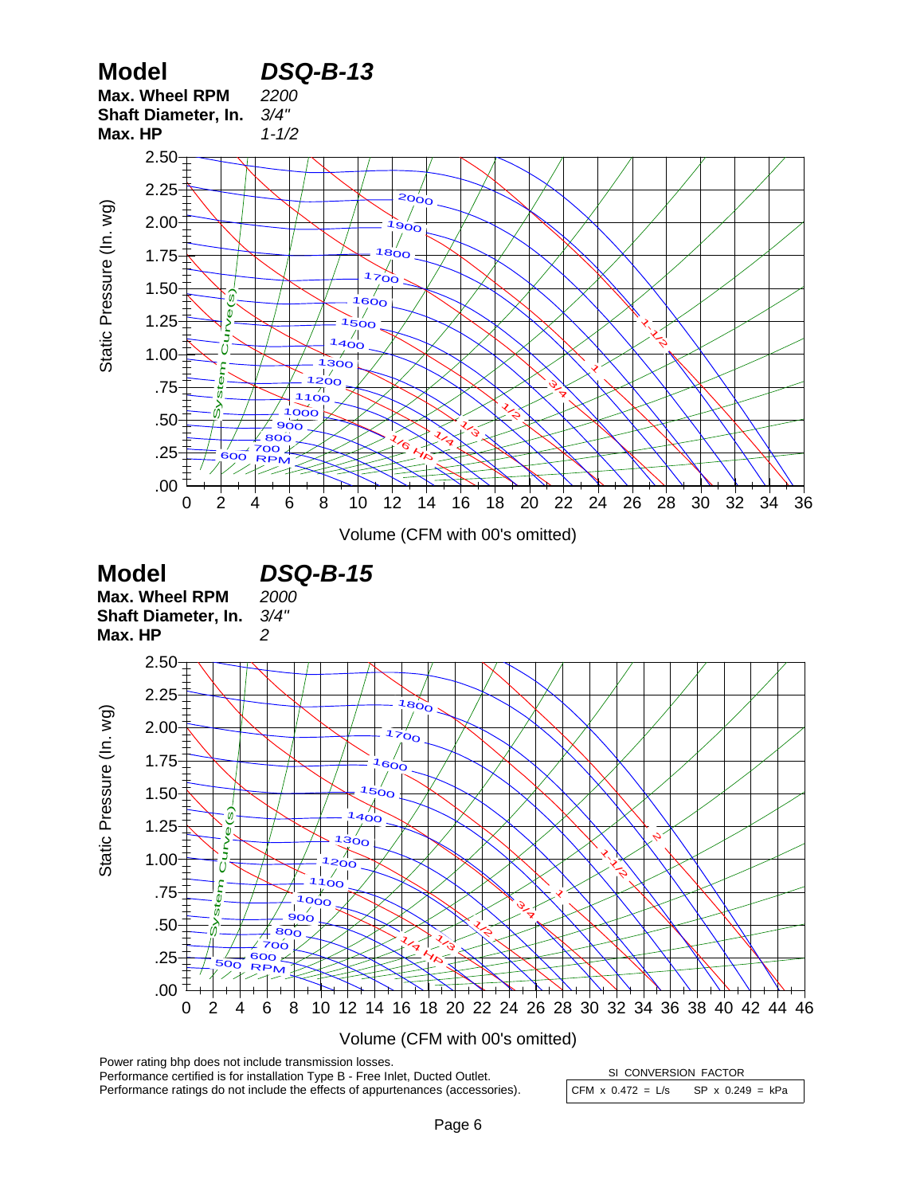

CFM  $x$  0.472 = L/s SP  $x$  0.249 = kPa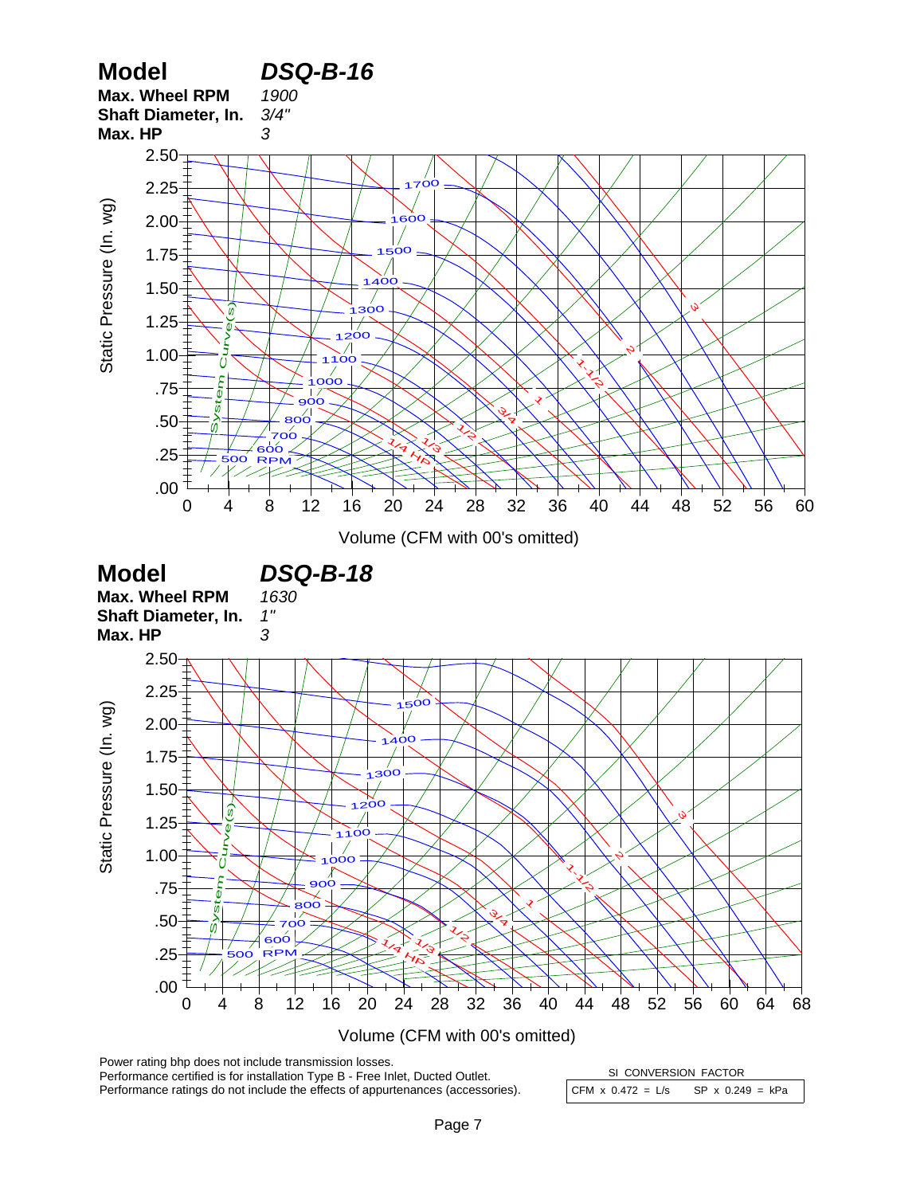

Performance certified is for installation Type B - Free Inlet, Ducted Outlet. Performance ratings do not include the effects of appurtenances (accessories). CFM  $x$  0.472 = L/s SP  $x$  0.249 = kPa SI CONVERSION FACTOR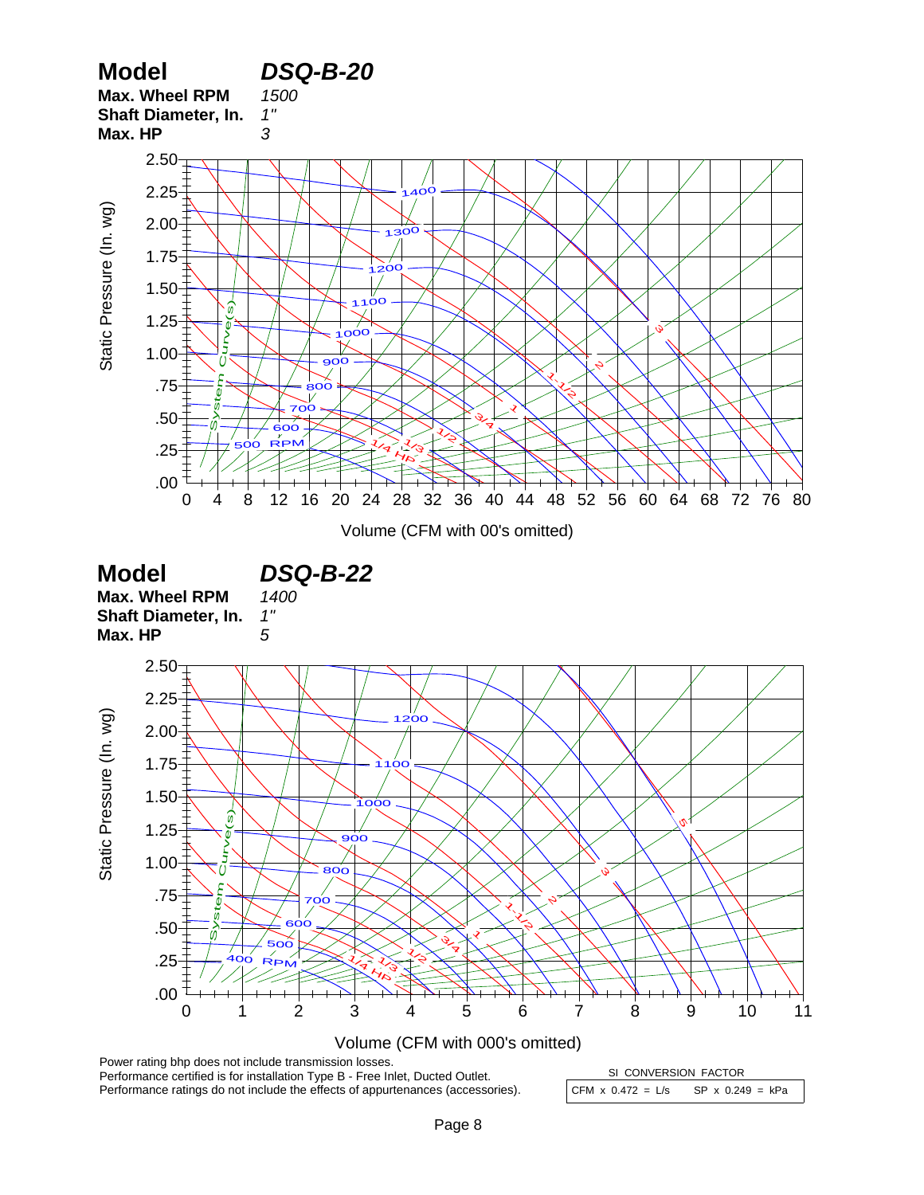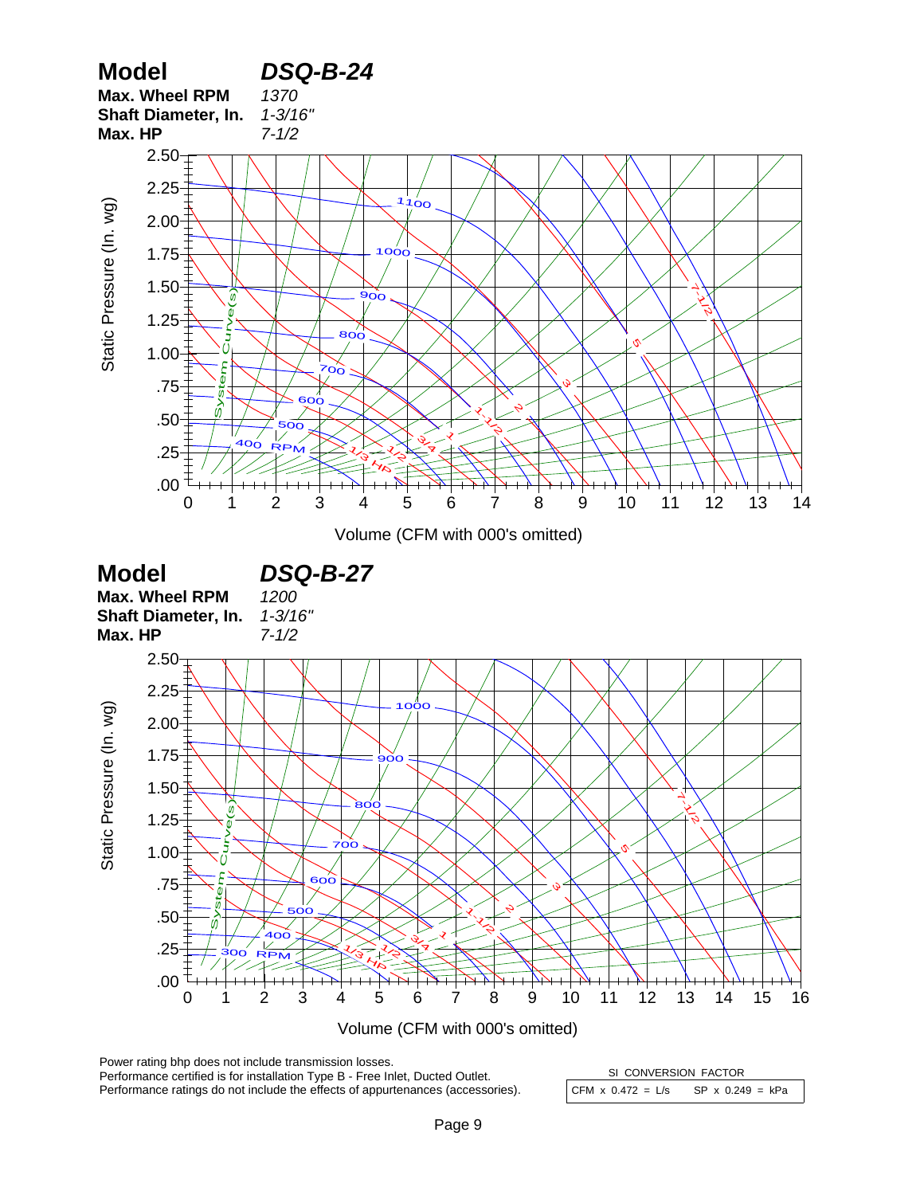

Power rating bhp does not include transmission losses. Performance certified is for installation Type B - Free Inlet, Ducted Outlet. Performance ratings do not include the effects of appurtenances (accessories).

CFM  $x$  0.472 = L/s SP  $x$  0.249 = kPa SI CONVERSION FACTOR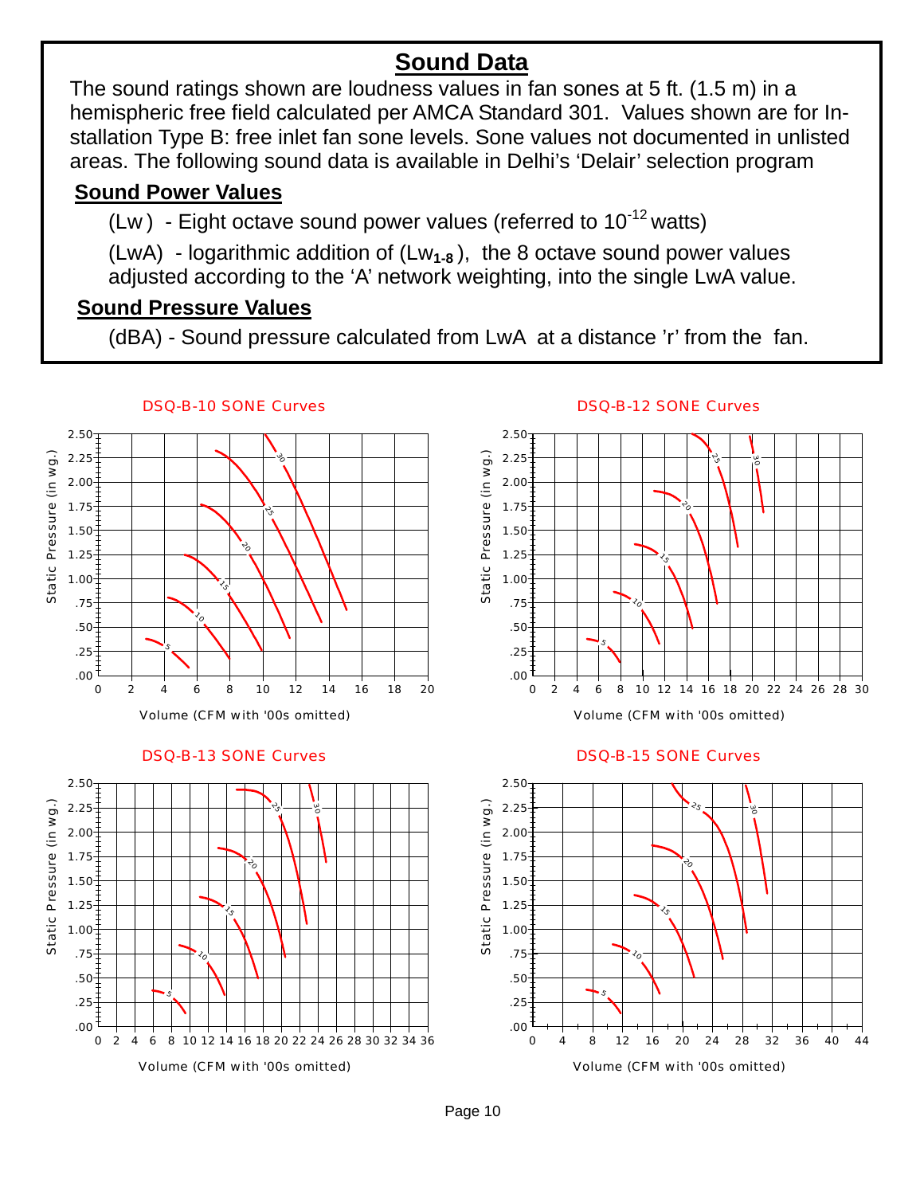# **Sound Data**

The sound ratings shown are loudness values in fan sones at 5 ft. (1.5 m) in a hemispheric free field calculated per AMCA Standard 301. Values shown are for Installation Type B: free inlet fan sone levels. Sone values not documented in unlisted areas. The following sound data is available in Delhi's 'Delair' selection program

### **Sound Power Values**

(Lw) - Eight octave sound power values (referred to  $10^{-12}$  watts)

(LwA) - logarithmic addition of (Lw**1-8** ), the 8 octave sound power values adjusted according to the 'A' network weighting, into the single LwA value.

### **Sound Pressure Values**

(dBA) - Sound pressure calculated from LwA at a distance 'r' from the fan.



DSQ-B-13 SONE Curves



### DSQ-B-12 SONE Curves



#### DSQ-B-15 SONE Curves



Page 10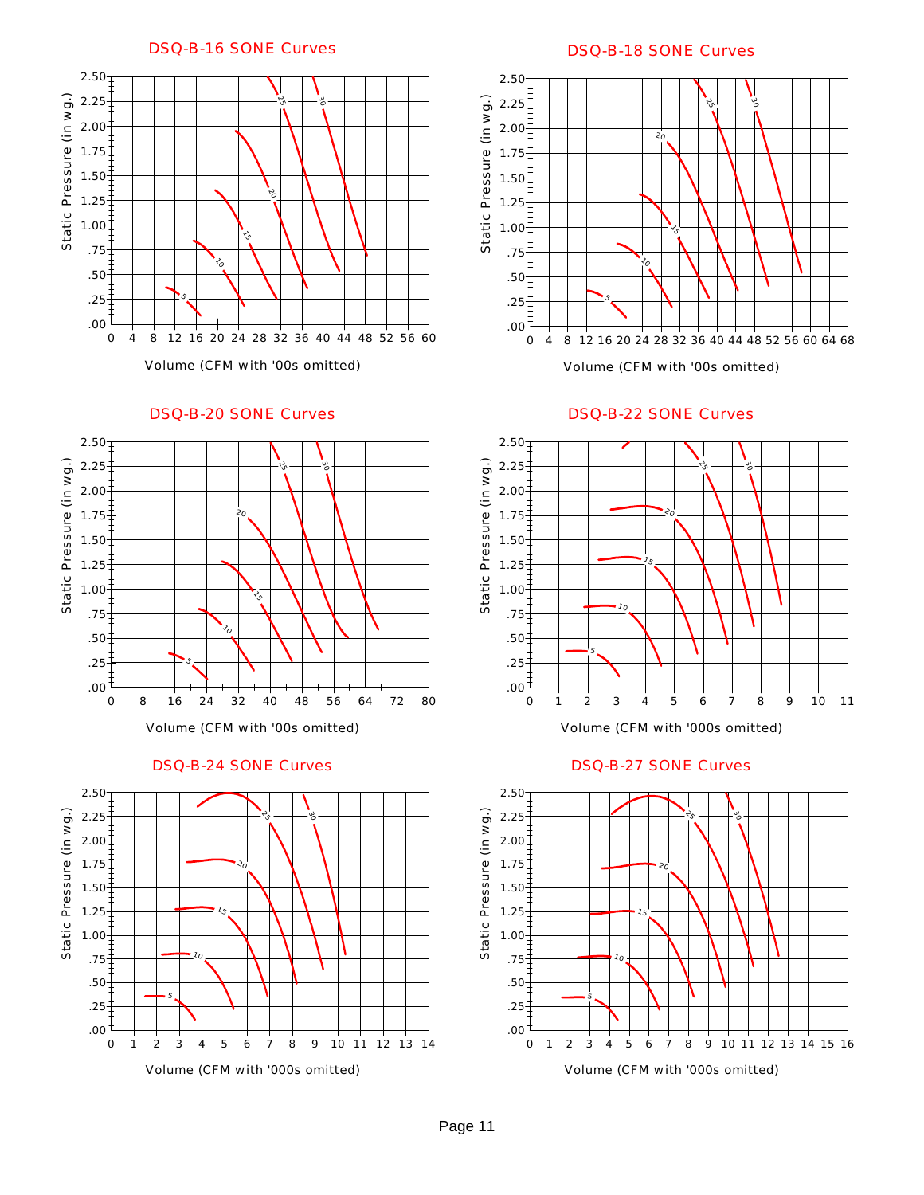DSQ-B-16 SONE Curves



#### DSQ-B-20 SONE Curves



DSQ-B-24 SONE Curves



#### DSQ-B-18 SONE Curves



DSQ-B-22 SONE Curves



#### DSQ-B-27 SONE Curves